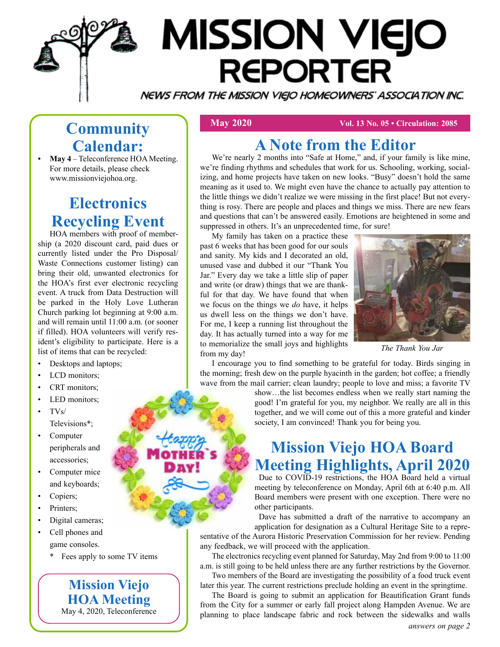

# **MISSION VIEJO REPORTER**

NEWS FROM THE MISSION VIEJO HOMEOWNERS' ASSOCIATION INC.

# **Community Calendar: • May 4** – Teleconference HOA Meeting.

For more details, please check www.missionviejohoa.org.

#### **Electronics Recycling Event**

HOA members with proof of membership (a 2020 discount card, paid dues or currently listed under the Pro Disposal/ Waste Connections customer listing) can bring their old, unwanted electronics for the HOA's first ever electronic recycling event. A truck from Data Destruction will be parked in the Holy Love Lutheran Church parking lot beginning at 9:00 a.m. and will remain until 11:00 a.m. (or sooner if filled). HOA volunteers will verify resident's eligibility to participate. Here is a list of items that can be recycled:

- Desktops and laptops;
- LCD monitors:
- CRT monitors;
- LED monitors;
- TVs/ Televisions\*;
- **Computer** peripherals and accessories;
- Computer mice and keyboards;
- Copiers;
- Printers;
- Digital cameras;

• Cell phones and game consoles.

\* Fees apply to some TV items

**Mission Viejo HOA Meeting**  May 4, 2020, Teleconference

 **May 2020 Vol. 13 No. 05 • Circulation: 2085** 

#### **A Note from the Editor**

We're nearly 2 months into "Safe at Home," and, if your family is like mine, we're finding rhythms and schedules that work for us. Schooling, working, socializing, and home projects have taken on new looks. "Busy" doesn't hold the same meaning as it used to. We might even have the chance to actually pay attention to the little things we didn't realize we were missing in the first place! But not everything is rosy. There are people and places and things we miss. There are new fears and questions that can't be answered easily. Emotions are heightened in some and suppressed in others. It's an unprecedented time, for sure!

My family has taken on a practice these past 6 weeks that has been good for our souls and sanity. My kids and I decorated an old, unused vase and dubbed it our "Thank You Jar." Every day we take a little slip of paper and write (or draw) things that we are thankful for that day. We have found that when we focus on the things we *do* have, it helps us dwell less on the things we don't have. For me, I keep a running list throughout the day. It has actually turned into a way for me to memorialize the small joys and highlights from my day!



*The Thank You Jar*

I encourage you to find something to be grateful for today. Birds singing in the morning; fresh dew on the purple hyacinth in the garden; hot coffee; a friendly wave from the mail carrier; clean laundry; people to love and miss; a favorite TV

> show…the list becomes endless when we really start naming the good! I'm grateful for you, my neighbor. We really are all in this together, and we will come out of this a more grateful and kinder society, I am convinced! Thank you for being you.

### **Mission Viejo HOA Board Meeting Highlights, April 2020**

Due to COVID-19 restrictions, the HOA Board held a virtual meeting by teleconference on Monday, April 6th at 6:40 p.m. All Board members were present with one exception. There were no other participants.

Dave has submitted a draft of the narrative to accompany an application for designation as a Cultural Heritage Site to a representative of the Aurora Historic Preservation Commission for her review. Pending any feedback, we will proceed with the application.

The electronics recycling event planned for Saturday, May 2nd from 9:00 to 11:00 a.m. is still going to be held unless there are any further restrictions by the Governor.

Two members of the Board are investigating the possibility of a food truck event later this year. The current restrictions preclude holding an event in the springtime.

The Board is going to submit an application for Beautification Grant funds from the City for a summer or early fall project along Hampden Avenue. We are planning to place landscape fabric and rock between the sidewalks and walls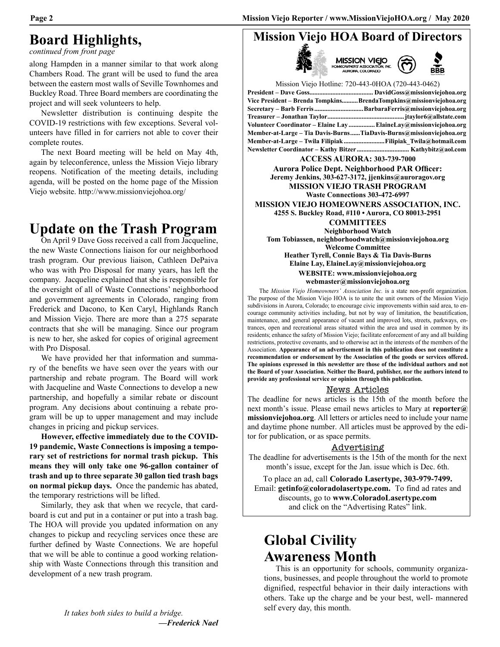**Mission Viejo HOA Board of Directors**

#### **Board Highlights,**

*continued from front page*

along Hampden in a manner similar to that work along Chambers Road. The grant will be used to fund the area between the eastern most walls of Seville Townhomes and Buckley Road. Three Board members are coordinating the project and will seek volunteers to help.

Newsletter distribution is continuing despite the COVID-19 restrictions with few exceptions. Several volunteers have filled in for carriers not able to cover their complete routes.

The next Board meeting will be held on May 4th, again by teleconference, unless the Mission Viejo library reopens. Notification of the meeting details, including agenda, will be posted on the home page of the Mission Viejo website. http://www.missionviejohoa.org/

#### **Update on the Trash Program**

On April 9 Dave Goss received a call from Jacqueline, the new Waste Connections liaison for our neighborhood trash program. Our previous liaison, Cathleen DePaiva who was with Pro Disposal for many years, has left the company. Jacqueline explained that she is responsible for the oversight of all of Waste Connections' neighborhood and government agreements in Colorado, ranging from Frederick and Dacono, to Ken Caryl, Highlands Ranch and Mission Viejo. There are more than a 275 separate contracts that she will be managing. Since our program is new to her, she asked for copies of original agreement with Pro Disposal.

We have provided her that information and summary of the benefits we have seen over the years with our partnership and rebate program. The Board will work with Jacqueline and Waste Connections to develop a new partnership, and hopefully a similar rebate or discount program. Any decisions about continuing a rebate program will be up to upper management and may include changes in pricing and pickup services.

**However, effective immediately due to the COVID-19 pandemic, Waste Connections is imposing a temporary set of restrictions for normal trash pickup. This means they will only take one 96-gallon container of trash and up to three separate 30 gallon tied trash bags on normal pickup days.** Once the pandemic has abated, the temporary restrictions will be lifted.

Similarly, they ask that when we recycle, that cardboard is cut and put in a container or put into a trash bag. The HOA will provide you updated information on any changes to pickup and recycling services once these are further defined by Waste Connections. We are hopeful that we will be able to continue a good working relationship with Waste Connections through this transition and development of a new trash program.

| MISSION VIEJO<br>HOMEOWNERS ASSOCIATION, INC.<br>AURORA, COLORADO                               |
|-------------------------------------------------------------------------------------------------|
| Mission Viejo Hotline: 720-443-0HOA (720-443-0462)                                              |
|                                                                                                 |
| Vice President - Brenda Tompkins BrendaTompkins@missionviejohoa.org                             |
| Secretary - Barb Ferris BarbaraFerris@missionviejohoa.org                                       |
|                                                                                                 |
| Volunteer Coordinator - Elaine Lay  ElaineLay@missionviejohoa.org                               |
| Member-at-Large - Tia Davis-BurnsTiaDavis-Burns@missionviejohoa.org                             |
| Member-at-Large – Twila Filipiak Filipiak Twila@hotmail.com                                     |
|                                                                                                 |
| <b>ACCESS AURORA: 303-739-7000</b>                                                              |
| <b>Aurora Police Dept. Neighborhood PAR Officer:</b>                                            |
| Jeremy Jenkins, 303-627-3172, jjenkins@auroragov.org                                            |
| <b>MISSION VIEJO TRASH PROGRAM</b>                                                              |
| <b>Waste Connections 303-472-6997</b>                                                           |
| MISSION VIEJO HOMEOWNERS ASSOCIATION, INC.                                                      |
| 4255 S. Buckley Road, #110 . Aurora, CO 80013-2951                                              |
| <b>COMMITTEES</b>                                                                               |
| Neighborhood Watch                                                                              |
| Tom Tobiassen, neighborhoodwatch@missionviejohoa.org                                            |
| <b>Welcome Committee</b>                                                                        |
| Heather Tyrell, Connie Bays & Tia Davis-Burns                                                   |
| Elaine Lay, ElaineLay@missionviejohoa.org                                                       |
| WEBSITE: www.missionviejohoa.org                                                                |
| webmaster@missionviejohoa.org                                                                   |
| The <i>Mission Vicio Homooynom</i> , <i>Jonegistion Ine, is a state non profit organization</i> |

The *Mission Viejo Homeowners' Association Inc.* is a state non-profit organization. The purpose of the Mission Viejo HOA is to unite the unit owners of the Mission Viejo subdivisions in Aurora, Colorado; to encourage civic improvements within said area, to encourage community activities including, but not by way of limitation, the beautification, maintenance, and general appearance of vacant and improved lots, streets, parkways, entrances, open and recreational areas situated within the area and used in common by its residents; enhance the safety of Mission Viejo; facilitate enforcement of any and all building restrictions, protective covenants, and to otherwise act in the interests of the members of the Association. **Appearance of an advertisement in this publication does not constitute a recommendation or endorsement by the Association of the goods or services offered. The opinions expressed in this newsletter are those of the individual authors and not the Board of your Association. Neither the Board, publisher, nor the authors intend to provide any professional service or opinion through this publication.**

#### News Articles

The deadline for news articles is the 15th of the month before the next month's issue. Please email news articles to Mary at **reporter@ missionviejohoa.org**. All letters or articles need to include your name and daytime phone number. All articles must be approved by the editor for publication, or as space permits.

#### Advertising

The deadline for advertisements is the 15th of the month for the next month's issue, except for the Jan. issue which is Dec. 6th.

To place an ad, call **Colorado Lasertype, 303-979-7499.** Email: **getinfo@coloradolasertype.com.** To find ad rates and discounts, go to **www.ColoradoLasertype.com** and click on the "Advertising Rates" link.

#### **Global Civility Awareness Month**

This is an opportunity for schools, community organizations, businesses, and people throughout the world to promote dignified, respectful behavior in their daily interactions with others. Take up the charge and be your best, well- mannered self every day, this month.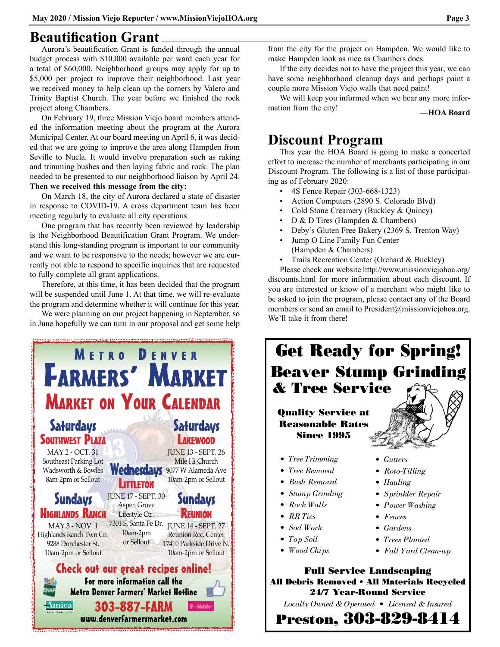#### **Beautification Grant**

Aurora's beautification Grant is funded through the annual budget process with \$10,000 available per ward each year for a total of \$60,000. Neighborhood groups may apply for up to \$5,000 per project to improve their neighborhood. Last year we received money to help clean up the corners by Valero and Trinity Baptist Church. The year before we finished the rock project along Chambers.

On February 19, three Mission Viejo board members attended the information meeting about the program at the Aurora Municipal Center. At our board meeting on April 6, it was decided that we are going to improve the area along Hampden from Seville to Nucla. It would involve preparation such as raking and trimming bushes and then laying fabric and rock. The plan needed to be presented to our neighborhood liaison by April 24. **Then we received this message from the city:**

On March 18, the city of Aurora declared a state of disaster in response to COVID-19. A cross department team has been meeting regularly to evaluate all city operations.

One program that has recently been reviewed by leadership is the Neighborhood Beautification Grant Program. We understand this long-standing program is important to our community and we want to be responsive to the needs; however we are currently not able to respond to specific inquiries that are requested to fully complete all grant applications.

Therefore, at this time, it has been decided that the program will be suspended until June 1. At that time, we will re-evaluate the program and determine whether it will continue for this year.

We were planning on our project happening in September, so in June hopefully we can turn in our proposal and get some help



from the city for the project on Hampden. We would like to make Hampden look as nice as Chambers does.

If the city decides not to have the project this year, we can have some neighborhood cleanup days and perhaps paint a couple more Mission Viejo walls that need paint!

We will keep you informed when we hear any more information from the city! **—HOA Board**

#### **Discount Program**

This year the HOA Board is going to make a concerted effort to increase the number of merchants participating in our Discount Program. The following is a list of those participating as of February 2020:

- 4S Fence Repair (303-668-1323)
- Action Computers (2890 S. Colorado Blvd)
- Cold Stone Creamery (Buckley & Quincy)
- D & D Tires (Hampden & Chambers)
- Deby's Gluten Free Bakery (2369 S. Trenton Way)
- Jump O Line Family Fun Center (Hampden & Chambers)
- Trails Recreation Center (Orchard & Buckley)

Please check our website http://www.missionviejohoa.org/ discounts.html for more information about each discount. If you are interested or know of a merchant who might like to be asked to join the program, please contact any of the Board members or send an email to President@missionviejohoa.org. We'll take it from there!

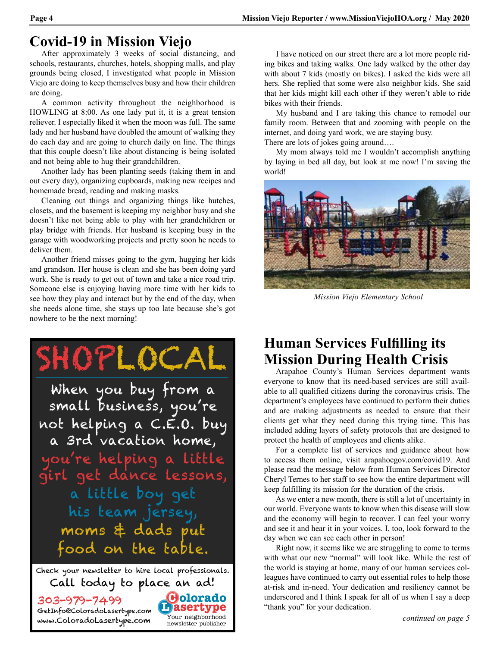#### **Covid-19 in Mission Viejo**

After approximately 3 weeks of social distancing, and schools, restaurants, churches, hotels, shopping malls, and play grounds being closed, I investigated what people in Mission Viejo are doing to keep themselves busy and how their children are doing.

A common activity throughout the neighborhood is HOWLING at 8:00. As one lady put it, it is a great tension reliever. I especially liked it when the moon was full. The same lady and her husband have doubled the amount of walking they do each day and are going to church daily on line. The things that this couple doesn't like about distancing is being isolated and not being able to hug their grandchildren.

Another lady has been planting seeds (taking them in and out every day), organizing cupboards, making new recipes and homemade bread, reading and making masks.

Cleaning out things and organizing things like hutches, closets, and the basement is keeping my neighbor busy and she doesn't like not being able to play with her grandchildren or play bridge with friends. Her husband is keeping busy in the garage with woodworking projects and pretty soon he needs to deliver them.

Another friend misses going to the gym, hugging her kids and grandson. Her house is clean and she has been doing yard work. She is ready to get out of town and take a nice road trip. Someone else is enjoying having more time with her kids to see how they play and interact but by the end of the day, when she needs alone time, she stays up too late because she's got nowhere to be the next morning!



I have noticed on our street there are a lot more people riding bikes and taking walks. One lady walked by the other day with about 7 kids (mostly on bikes). I asked the kids were all hers. She replied that some were also neighbor kids. She said that her kids might kill each other if they weren't able to ride bikes with their friends.

My husband and I are taking this chance to remodel our family room. Between that and zooming with people on the internet, and doing yard work, we are staying busy. There are lots of jokes going around….

My mom always told me I wouldn't accomplish anything by laying in bed all day, but look at me now! I'm saving the world!



 *Mission Viejo Elementary School*

#### **Human Services Fulfilling its Mission During Health Crisis**

Arapahoe County's Human Services department wants everyone to know that its need-based services are still available to all qualified citizens during the coronavirus crisis. The department's employees have continued to perform their duties and are making adjustments as needed to ensure that their clients get what they need during this trying time. This has included adding layers of safety protocols that are designed to protect the health of employees and clients alike.

For a complete list of services and guidance about how to access them online, visit arapahoegov.com/covid19. And please read the message below from Human Services Director Cheryl Ternes to her staff to see how the entire department will keep fulfilling its mission for the duration of the crisis.

As we enter a new month, there is still a lot of uncertainty in our world. Everyone wants to know when this disease will slow and the economy will begin to recover. I can feel your worry and see it and hear it in your voices. I, too, look forward to the day when we can see each other in person!

Right now, it seems like we are struggling to come to terms with what our new "normal" will look like. While the rest of the world is staying at home, many of our human services colleagues have continued to carry out essential roles to help those at-risk and in-need. Your dedication and resiliency cannot be underscored and I think I speak for all of us when I say a deep "thank you" for your dedication.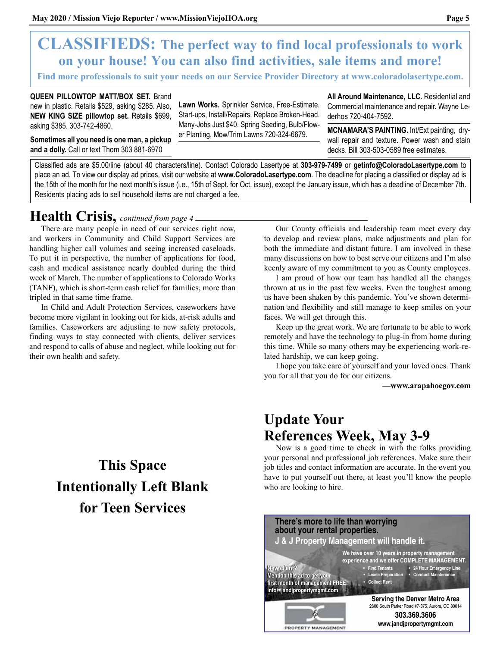#### **CLASSIFIEDS: The perfect way to find local professionals to work on your house! You can also find activities, sale items and more!**

**Find more professionals to suit your needs on our Service Provider Directory at www.coloradolasertype.com.**

**QUEEN PILLOWTOP MATT/BOX SET.** Brand new in plastic. Retails \$529, asking \$285. Also, **NEW KING SIZE pillowtop set.** Retails \$699, asking \$385. 303-742-4860.

**Sometimes all you need is one man, a pickup and a dolly.** Call or text Thom 303 881-6970

**Lawn Works.** Sprinkler Service, Free-Estimate. Start-ups, Install/Repairs, Replace Broken-Head. Many-Jobs Just \$40. Spring Seeding, Bulb/Flower Planting, Mow/Trim Lawns 720-324-6679.

**All Around Maintenance, LLC.** Residential and Commercial maintenance and repair. Wayne Lederhos 720-404-7592.

**MCNAMARA'S PAINTING.** Int/Ext painting, drywall repair and texture. Power wash and stain decks. Bill 303-503-0589 free estimates.

Classified ads are \$5.00/line (about 40 characters/line). Contact Colorado Lasertype at **303-979-7499** or **getinfo@ColoradoLasertype.com** to place an ad. To view our display ad prices, visit our website at **www.ColoradoLasertype.com**. The deadline for placing a classified or display ad is the 15th of the month for the next month's issue (i.e., 15th of Sept. for Oct. issue), except the January issue, which has a deadline of December 7th. Residents placing ads to sell household items are not charged a fee.

#### **Health Crisis,** *continued from page 4*

There are many people in need of our services right now, and workers in Community and Child Support Services are handling higher call volumes and seeing increased caseloads. To put it in perspective, the number of applications for food, cash and medical assistance nearly doubled during the third week of March. The number of applications to Colorado Works (TANF), which is short-term cash relief for families, more than tripled in that same time frame.

In Child and Adult Protection Services, caseworkers have become more vigilant in looking out for kids, at-risk adults and families. Caseworkers are adjusting to new safety protocols, finding ways to stay connected with clients, deliver services and respond to calls of abuse and neglect, while looking out for their own health and safety.

## **This Space Intentionally Left Blank for Teen Services**

Our County officials and leadership team meet every day to develop and review plans, make adjustments and plan for both the immediate and distant future. I am involved in these many discussions on how to best serve our citizens and I'm also keenly aware of my commitment to you as County employees.

I am proud of how our team has handled all the changes thrown at us in the past few weeks. Even the toughest among us have been shaken by this pandemic. You've shown determination and flexibility and still manage to keep smiles on your faces. We will get through this.

Keep up the great work. We are fortunate to be able to work remotely and have the technology to plug-in from home during this time. While so many others may be experiencing work-related hardship, we can keep going.

I hope you take care of yourself and your loved ones. Thank you for all that you do for our citizens.

**—www.arapahoegov.com** 

#### **Update Your References Week, May 3-9**

Now is a good time to check in with the folks providing your personal and professional job references. Make sure their job titles and contact information are accurate. In the event you have to put yourself out there, at least you'll know the people who are looking to hire.

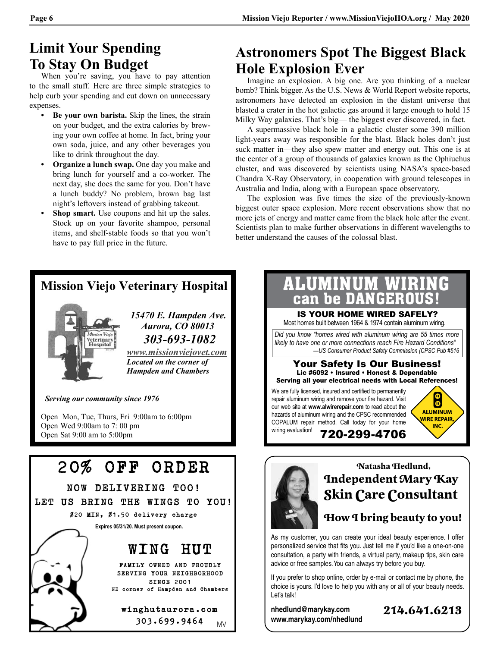#### **Limit Your Spending To Stay On Budget**

When you're saving, you have to pay attention to the small stuff. Here are three simple strategies to help curb your spending and cut down on unnecessary expenses.

- **• Be your own barista.** Skip the lines, the strain on your budget, and the extra calories by brewing your own coffee at home. In fact, bring your own soda, juice, and any other beverages you like to drink throughout the day.
- **• Organize a lunch swap.** One day you make and bring lunch for yourself and a co-worker. The next day, she does the same for you. Don't have a lunch buddy? No problem, brown bag last night's leftovers instead of grabbing takeout.
- **Shop smart.** Use coupons and hit up the sales. Stock up on your favorite shampoo, personal items, and shelf-stable foods so that you won't have to pay full price in the future.

#### **Astronomers Spot The Biggest Black Hole Explosion Ever**

Imagine an explosion. A big one. Are you thinking of a nuclear bomb? Think bigger. As the U.S. News & World Report website reports, astronomers have detected an explosion in the distant universe that blasted a crater in the hot galactic gas around it large enough to hold 15 Milky Way galaxies. That's big— the biggest ever discovered, in fact.

A supermassive black hole in a galactic cluster some 390 million light-years away was responsible for the blast. Black holes don't just suck matter in—they also spew matter and energy out. This one is at the center of a group of thousands of galaxies known as the Ophiuchus cluster, and was discovered by scientists using NASA's space-based Chandra X-Ray Observatory, in cooperation with ground telescopes in Australia and India, along with a European space observatory.

The explosion was five times the size of the previously-known biggest outer space explosion. More recent observations show that no more jets of energy and matter came from the black hole after the event. Scientists plan to make further observations in different wavelengths to better understand the causes of the colossal blast.

#### 20% OFF ORDER NOW DELIVERING TOO! LET US BRING THE WINGS TO YOU! \$20 MIN, \$1.50 delivery charge WING HUT FAMILY OWNED AND PROUDLY SERVING YOUR NEIGHBORHOOD SINCE 2001 NE corner of Hampden and Chambers winghutaurora.com **Expires 05/31/20. Must present coupon. Mission Viejo Veterinary Hospital** *15470 E. Hampden Ave. Aurora, CO 80013 <i>Buspital*  $\frac{1}{\text{Hospital}}$   $\frac{303-693-1082}{\text{Localed on the corner of}}$ **Hampden and Chambers Serving our community since 1976** Open Mon, Tue, Thurs, Fri 9:00am to 6:00pm Open Wed 9:00am to 7:00 pm Open Sat 9:00 am to 5:00pm

303.699.9464

MV



#### **Natasha Hedlund, Independent Mary Kay Skin Care Consultant**

#### **How I bring beauty to you!**

As my customer, you can create your ideal beauty experience. I offer personalized service that fits you. Just tell me if you'd like a one-on-one consultation, a party with friends, a virtual party, makeup tips, skin care advice or free samples. You can always try before you buy.

If you prefer to shop online, order by e-mail or contact me by phone, the choice is yours. I'd love to help you with any or all of your beauty needs. Let's talk!

**nhedlund@marykay.com www.marykay.com/nhedlund**

i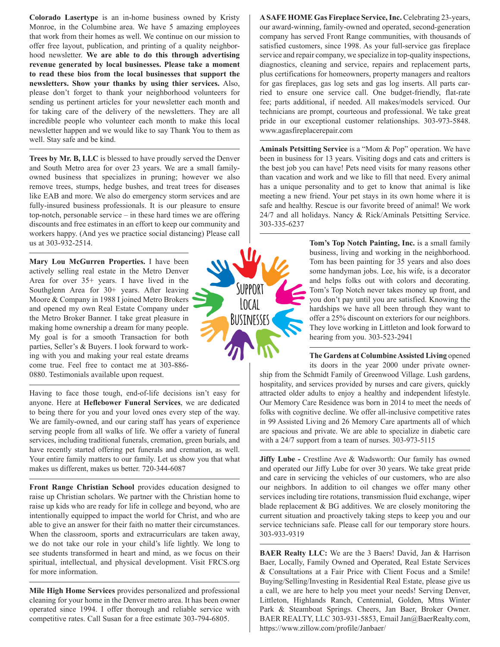**Colorado Lasertype** is an in-home business owned by Kristy Monroe, in the Columbine area. We have 5 amazing employees that work from their homes as well. We continue on our mission to offer free layout, publication, and printing of a quality neighborhood newsletter. **We are able to do this through advertising revenue generated by local businesses. Please take a moment to read these bios from the local businesses that support the newsletters. Show your thanks by using thier services.** Also, please don't forget to thank your neighborhood volunteers for sending us pertinent articles for your newsletter each month and for taking care of the delivery of the newsletters. They are all incredible people who volunteer each month to make this local newsletter happen and we would like to say Thank You to them as well. Stay safe and be kind.

**Trees by Mr. B, LLC** is blessed to have proudly served the Denver and South Metro area for over 23 years. We are a small familyowned business that specializes in pruning; however we also remove trees, stumps, hedge bushes, and treat trees for diseases like EAB and more. We also do emergency storm services and are fully-insured business professionals. It is our pleasure to ensure top-notch, personable service – in these hard times we are offering discounts and free estimates in an effort to keep our community and workers happy. (And yes we practice social distancing) Please call us at 303-932-2514.

**Mary Lou McGurren Properties.** I have been actively selling real estate in the Metro Denver Area for over 35+ years. I have lived in the Southglenn Area for 30+ years. After leaving Moore & Company in 1988 I joined Metro Brokers and opened my own Real Estate Company under the Metro Broker Banner. I take great pleasure in making home ownership a dream for many people. My goal is for a smooth Transaction for both parties, Seller's & Buyers. I look forward to working with you and making your real estate dreams come true. Feel free to contact me at 303-886- 0880. Testimonials available upon request.

Having to face those tough, end-of-life decisions isn't easy for anyone. Here at **Heflebower Funeral Services**, we are dedicated to being there for you and your loved ones every step of the way. We are family-owned, and our caring staff has years of experience serving people from all walks of life. We offer a variety of funeral services, including traditional funerals, cremation, green burials, and have recently started offering pet funerals and cremation, as well. Your entire family matters to our family. Let us show you that what makes us different, makes us better. 720-344-6087

**Front Range Christian School** provides education designed to raise up Christian scholars. We partner with the Christian home to raise up kids who are ready for life in college and beyond, who are intentionally equipped to impact the world for Christ, and who are able to give an answer for their faith no matter their circumstances. When the classroom, sports and extracurriculars are taken away, we do not take our role in your child's life lightly. We long to see students transformed in heart and mind, as we focus on their spiritual, intellectual, and physical development. Visit FRCS.org for more information.

**Mile High Home Services** provides personalized and professional cleaning for your home in the Denver metro area. It has been owner operated since 1994. I offer thorough and reliable service with competitive rates. Call Susan for a free estimate 303-794-6805.



**A SAFE HOME Gas Fireplace Service, Inc.** Celebrating 23-years, our award-winning, family-owned and operated, second-generation company has served Front Range communities, with thousands of satisfied customers, since 1998. As your full-service gas fireplace service and repair company, we specialize in top-quality inspections, diagnostics, cleaning and service, repairs and replacement parts, plus certifications for homeowners, property managers and realtors for gas fireplaces, gas log sets and gas log inserts. All parts carried to ensure one service call. One budget-friendly, flat-rate fee; parts additional, if needed. All makes/models serviced. Our technicians are prompt, courteous and professional. We take great pride in our exceptional customer relationships. 303-973-5848. www.agasfireplacerepair.com

**Aminals Petsitting Service** is a "Mom & Pop" operation. We have been in business for 13 years. Visiting dogs and cats and critters is the best job you can have! Pets need visits for many reasons other than vacation and work and we like to fill that need. Every animal has a unique personality and to get to know that animal is like meeting a new friend. Your pet stays in its own home where it is safe and healthy. Rescue is our favorite breed of animal! We work 24/7 and all holidays. Nancy & Rick/Aminals Petsitting Service. 303-335-6237

> **Tom's Top Notch Painting, Inc.** is a small family business, living and working in the neighborhood. Tom has been painting for 35 years and also does some handyman jobs. Lee, his wife, is a decorator and helps folks out with colors and decorating. Tom's Top Notch never takes money up front, and you don't pay until you are satisfied. Knowing the hardships we have all been through they want to offer a 25% discount on exteriors for our neighbors. They love working in Littleton and look forward to hearing from you. 303-523-2941

> **The Gardens at Columbine Assisted Living** opened

its doors in the year 2000 under private ownership from the Schmidt Family of Greenwood Village. Lush gardens, hospitality, and services provided by nurses and care givers, quickly attracted older adults to enjoy a healthy and independent lifestyle. Our Memory Care Residence was born in 2014 to meet the needs of folks with cognitive decline. We offer all-inclusive competitive rates in 99 Assisted Living and 26 Memory Care apartments all of which are spacious and private. We are able to specialize in diabetic care with a 24/7 support from a team of nurses. 303-973-5115

**Jiffy Lube - Crestline Ave & Wadsworth: Our family has owned** and operated our Jiffy Lube for over 30 years. We take great pride and care in servicing the vehicles of our customers, who are also our neighbors. In addition to oil changes we offer many other services including tire rotations, transmission fluid exchange, wiper blade replacement & BG additives. We are closely monitoring the current situation and proactively taking steps to keep you and our service technicians safe. Please call for our temporary store hours. 303-933-9319

**BAER Realty LLC:** We are the 3 Baers! David, Jan & Harrison Baer, Locally, Family Owned and Operated, Real Estate Services & Consultations at a Fair Price with Client Focus and a Smile! Buying/Selling/Investing in Residential Real Estate, please give us a call, we are here to help you meet your needs! Serving Denver, Littleton, Highlands Ranch, Centennial, Golden, Mtns Winter Park & Steamboat Springs. Cheers, Jan Baer, Broker Owner. BAER REALTY, LLC 303-931-5853, Email Jan@BaerRealty.com, https://www.zillow.com/profile/Janbaer/